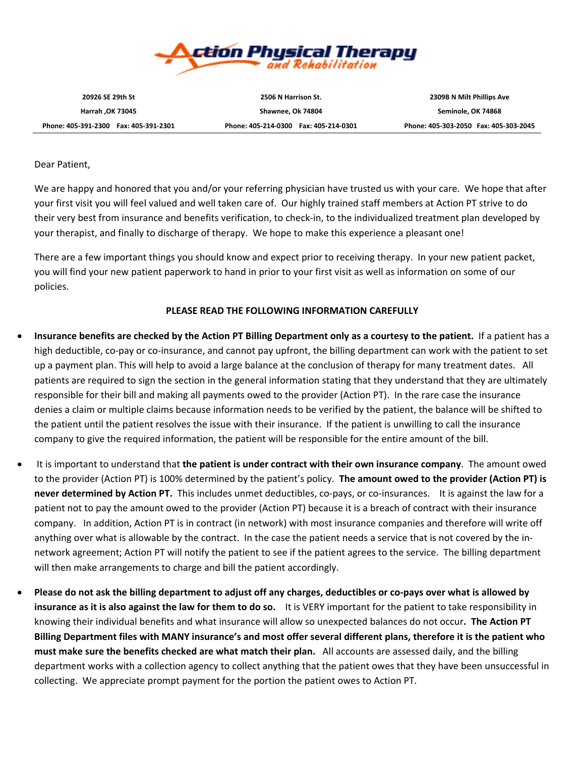

Phone: 405-391-2300 Fax: 405-391-2301 Phone: 405-214-0300 Fax: 405-214-0301 Phone: 405-303-2050 Fax: 405-303-2045

**Harrah ,OK 73045 Shawnee, Ok 74804 Seminole, OK 74868**

**20926 SE 29th St 2506 N Harrison St. 2309B N Milt Phillips Ave**

Dear Patient,

We are happy and honored that you and/or your referring physician have trusted us with your care. We hope that after your first visit you will feel valued and well taken care of. Our highly trained staff members at Action PT strive to do their very best from insurance and benefits verification, to check‐in, to the individualized treatment plan developed by your therapist, and finally to discharge of therapy. We hope to make this experience a pleasant one!

There are a few important things you should know and expect prior to receiving therapy. In your new patient packet, you will find your new patient paperwork to hand in prior to your first visit as well as information on some of our policies.

#### **PLEASE READ THE FOLLOWING INFORMATION CAREFULLY**

- Insurance benefits are checked by the Action PT Billing Department only as a courtesy to the patient. If a patient has a high deductible, co-pay or co-insurance, and cannot pay upfront, the billing department can work with the patient to set up a payment plan. This will help to avoid a large balance at the conclusion of therapy for many treatment dates. All patients are required to sign the section in the general information stating that they understand that they are ultimately responsible for their bill and making all payments owed to the provider (Action PT). In the rare case the insurance denies a claim or multiple claims because information needs to be verified by the patient, the balance will be shifted to the patient until the patient resolves the issue with their insurance. If the patient is unwilling to call the insurance company to give the required information, the patient will be responsible for the entire amount of the bill.
- It is important to understand that **the patient is under contract with their own insurance company**. The amount owed to the provider (Action PT) is 100% determined by the patient's policy. **The amount owed to the provider (Action PT) is never determined by Action PT.** This includes unmet deductibles, co‐pays, or co‐insurances. It is against the law for a patient not to pay the amount owed to the provider (Action PT) because it is a breach of contract with their insurance company. In addition, Action PT is in contract (in network) with most insurance companies and therefore will write off anything over what is allowable by the contract. In the case the patient needs a service that is not covered by the innetwork agreement; Action PT will notify the patient to see if the patient agrees to the service. The billing department will then make arrangements to charge and bill the patient accordingly.
- Please do not ask the billing department to adjust off any charges, deductibles or co-pays over what is allowed by **insurance as it is also against the law for them to do so.** It is VERY important for the patient to take responsibility in knowing their individual benefits and what insurance will allow so unexpected balances do not occur**. The Action PT** Billing Department files with MANY insurance's and most offer several different plans, therefore it is the patient who **must make sure the benefits checked are what match their plan.** All accounts are assessed daily, and the billing department works with a collection agency to collect anything that the patient owes that they have been unsuccessful in collecting. We appreciate prompt payment for the portion the patient owes to Action PT.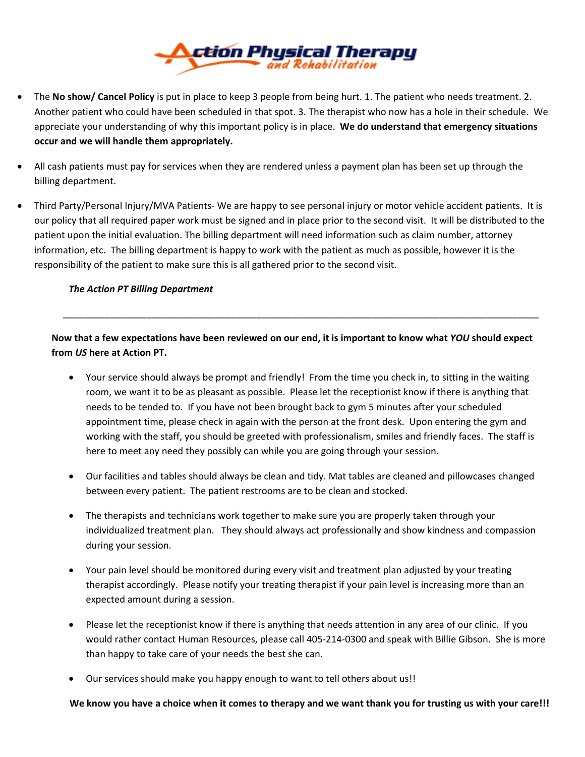

- The **No show/ Cancel Policy** is put in place to keep 3 people from being hurt. 1. The patient who needs treatment. 2. Another patient who could have been scheduled in that spot. 3. The therapist who now has a hole in their schedule. We appreciate your understanding of why this important policy is in place. **We do understand that emergency situations occur and we will handle them appropriately.**
- All cash patients must pay for services when they are rendered unless a payment plan has been set up through the billing department.
- Third Party/Personal Injury/MVA Patients‐ We are happy to see personal injury or motor vehicle accident patients. It is our policy that all required paper work must be signed and in place prior to the second visit. It will be distributed to the patient upon the initial evaluation. The billing department will need information such as claim number, attorney information, etc. The billing department is happy to work with the patient as much as possible, however it is the responsibility of the patient to make sure this is all gathered prior to the second visit.

#### *The Action PT Billing Department*

Now that a few expectations have been reviewed on our end, it is important to know what YOU should expect **from** *US* **here at Action PT.**

\_\_\_\_\_\_\_\_\_\_\_\_\_\_\_\_\_\_\_\_\_\_\_\_\_\_\_\_\_\_\_\_\_\_\_\_\_\_\_\_\_\_\_\_\_\_\_\_\_\_\_\_\_\_\_\_\_\_\_\_\_\_\_\_\_\_\_\_\_\_\_\_\_\_\_\_\_\_\_\_\_\_\_\_\_\_\_\_\_\_\_

- Your service should always be prompt and friendly! From the time you check in, to sitting in the waiting room, we want it to be as pleasant as possible. Please let the receptionist know if there is anything that needs to be tended to. If you have not been brought back to gym 5 minutes after your scheduled appointment time, please check in again with the person at the front desk. Upon entering the gym and working with the staff, you should be greeted with professionalism, smiles and friendly faces. The staff is here to meet any need they possibly can while you are going through your session.
- Our facilities and tables should always be clean and tidy. Mat tables are cleaned and pillowcases changed between every patient. The patient restrooms are to be clean and stocked.
- The therapists and technicians work together to make sure you are properly taken through your individualized treatment plan. They should always act professionally and show kindness and compassion during your session.
- Your pain level should be monitored during every visit and treatment plan adjusted by your treating therapist accordingly. Please notify your treating therapist if your pain level is increasing more than an expected amount during a session.
- Please let the receptionist know if there is anything that needs attention in any area of our clinic. If you would rather contact Human Resources, please call 405‐214‐0300 and speak with Billie Gibson. She is more than happy to take care of your needs the best she can.
- Our services should make you happy enough to want to tell others about us!!

We know you have a choice when it comes to therapy and we want thank you for trusting us with your care!!!